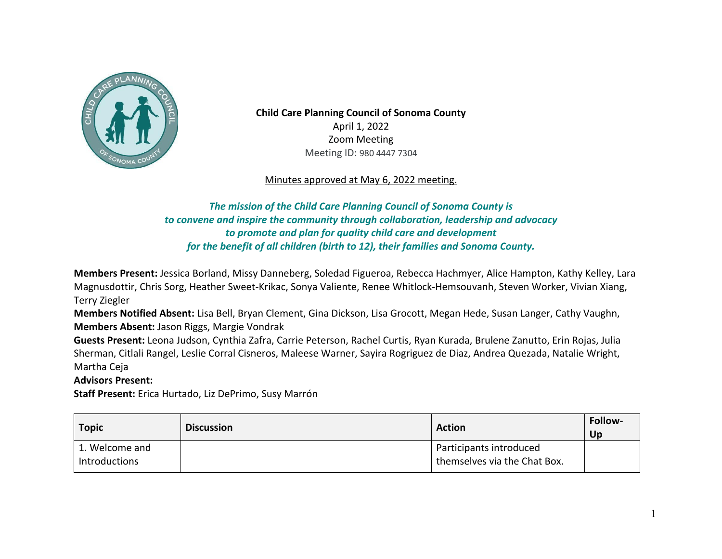

 Zoom Meeting Meeting ID: 980 4447 7304 **Child Care Planning Council of Sonoma County**  April 1, 2022

Minutes approved at May 6, 2022 meeting.

## *The mission of the Child Care Planning Council of Sonoma County is to convene and inspire the community through collaboration, leadership and advocacy for the benefit of all children (birth to 12), their families and Sonoma County. to promote and plan for quality child care and development*

 **Members Present:** Jessica Borland, Missy Danneberg, Soledad Figueroa, Rebecca Hachmyer, Alice Hampton, Kathy Kelley, Lara Magnusdottir, Chris Sorg, Heather Sweet-Krikac, Sonya Valiente, Renee Whitlock-Hemsouvanh, Steven Worker, Vivian Xiang, Terry Ziegler

 **Members Notified Absent:** Lisa Bell, Bryan Clement, Gina Dickson, Lisa Grocott, Megan Hede, Susan Langer, Cathy Vaughn, **Members Absent:** Jason Riggs, Margie Vondrak

 **Guests Present:** Leona Judson, Cynthia Zafra, Carrie Peterson, Rachel Curtis, Ryan Kurada, Brulene Zanutto, Erin Rojas, Julia Sherman, Citlali Rangel, Leslie Corral Cisneros, Maleese Warner, Sayira Rogriguez de Diaz, Andrea Quezada, Natalie Wright, Martha Ceja

## **Advisors Present:**

**Staff Present:** Erica Hurtado, Liz DePrimo, Susy Marrón

| <b>Topic</b>                    | <b>Discussion</b> | <b>Action</b>                                           | <b>Follow-</b><br>Up |
|---------------------------------|-------------------|---------------------------------------------------------|----------------------|
| 1. Welcome and<br>Introductions |                   | Participants introduced<br>themselves via the Chat Box. |                      |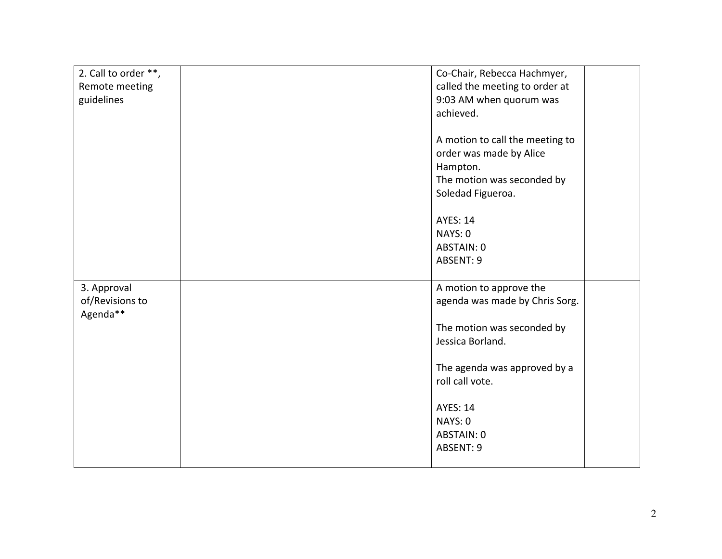| 2. Call to order **, | Co-Chair, Rebecca Hachmyer,     |  |
|----------------------|---------------------------------|--|
| Remote meeting       | called the meeting to order at  |  |
| guidelines           | 9:03 AM when quorum was         |  |
|                      | achieved.                       |  |
|                      |                                 |  |
|                      | A motion to call the meeting to |  |
|                      | order was made by Alice         |  |
|                      | Hampton.                        |  |
|                      | The motion was seconded by      |  |
|                      | Soledad Figueroa.               |  |
|                      |                                 |  |
|                      | <b>AYES: 14</b>                 |  |
|                      | NAYS: 0                         |  |
|                      | ABSTAIN: 0                      |  |
|                      | ABSENT: 9                       |  |
|                      |                                 |  |
| 3. Approval          | A motion to approve the         |  |
| of/Revisions to      | agenda was made by Chris Sorg.  |  |
| Agenda**             |                                 |  |
|                      | The motion was seconded by      |  |
|                      | Jessica Borland.                |  |
|                      |                                 |  |
|                      | The agenda was approved by a    |  |
|                      | roll call vote.                 |  |
|                      |                                 |  |
|                      | <b>AYES: 14</b>                 |  |
|                      | NAYS: 0                         |  |
|                      | ABSTAIN: 0                      |  |
|                      | ABSENT: 9                       |  |
|                      |                                 |  |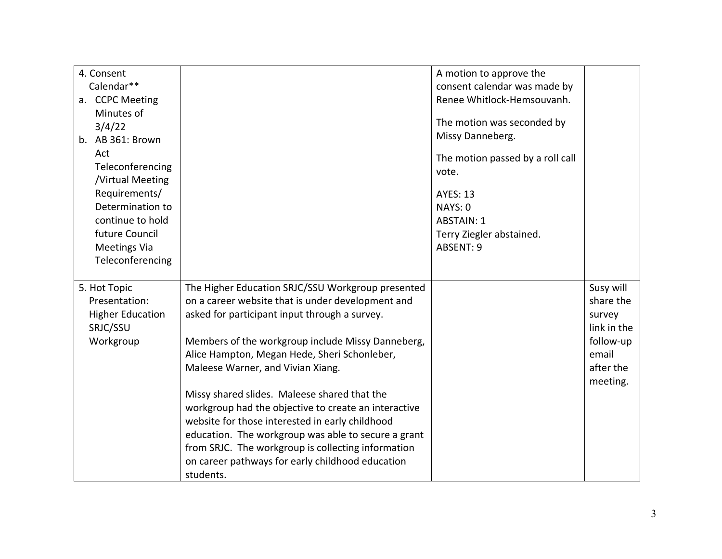| 4. Consent              |                                                      | A motion to approve the          |             |
|-------------------------|------------------------------------------------------|----------------------------------|-------------|
| Calendar**              |                                                      | consent calendar was made by     |             |
| a. CCPC Meeting         |                                                      | Renee Whitlock-Hemsouvanh.       |             |
| Minutes of              |                                                      |                                  |             |
| 3/4/22                  |                                                      | The motion was seconded by       |             |
| b. AB 361: Brown        |                                                      | Missy Danneberg.                 |             |
| Act                     |                                                      | The motion passed by a roll call |             |
| Teleconferencing        |                                                      | vote.                            |             |
| /Virtual Meeting        |                                                      |                                  |             |
| Requirements/           |                                                      | <b>AYES: 13</b>                  |             |
| Determination to        |                                                      | NAYS: 0                          |             |
| continue to hold        |                                                      | <b>ABSTAIN: 1</b>                |             |
| future Council          |                                                      | Terry Ziegler abstained.         |             |
| <b>Meetings Via</b>     |                                                      | ABSENT: 9                        |             |
| Teleconferencing        |                                                      |                                  |             |
|                         |                                                      |                                  |             |
| 5. Hot Topic            | The Higher Education SRJC/SSU Workgroup presented    |                                  | Susy will   |
| Presentation:           | on a career website that is under development and    |                                  | share the   |
| <b>Higher Education</b> | asked for participant input through a survey.        |                                  | survey      |
| SRJC/SSU                |                                                      |                                  | link in the |
| Workgroup               | Members of the workgroup include Missy Danneberg,    |                                  | follow-up   |
|                         | Alice Hampton, Megan Hede, Sheri Schonleber,         |                                  | email       |
|                         | Maleese Warner, and Vivian Xiang.                    |                                  | after the   |
|                         |                                                      |                                  | meeting.    |
|                         | Missy shared slides. Maleese shared that the         |                                  |             |
|                         | workgroup had the objective to create an interactive |                                  |             |
|                         | website for those interested in early childhood      |                                  |             |
|                         | education. The workgroup was able to secure a grant  |                                  |             |
|                         | from SRJC. The workgroup is collecting information   |                                  |             |
|                         | on career pathways for early childhood education     |                                  |             |
|                         | students.                                            |                                  |             |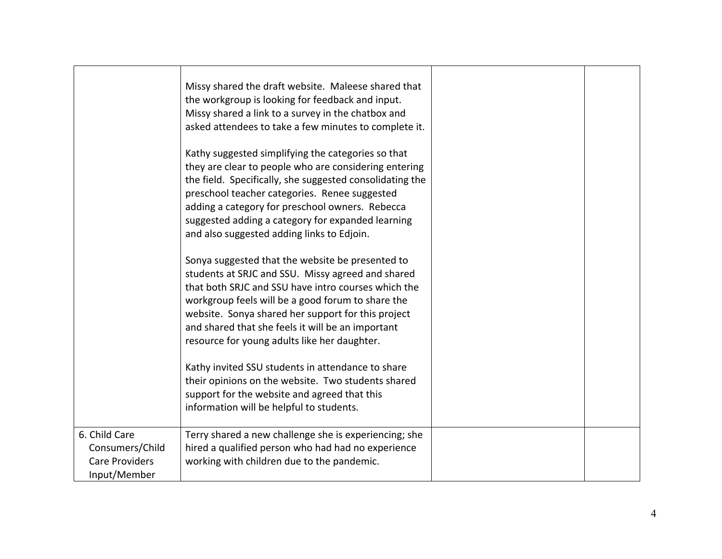|                                                                           | Missy shared the draft website. Maleese shared that<br>the workgroup is looking for feedback and input.<br>Missy shared a link to a survey in the chatbox and<br>asked attendees to take a few minutes to complete it.<br>Kathy suggested simplifying the categories so that<br>they are clear to people who are considering entering<br>the field. Specifically, she suggested consolidating the<br>preschool teacher categories. Renee suggested<br>adding a category for preschool owners. Rebecca<br>suggested adding a category for expanded learning<br>and also suggested adding links to Edjoin.<br>Sonya suggested that the website be presented to<br>students at SRJC and SSU. Missy agreed and shared<br>that both SRJC and SSU have intro courses which the<br>workgroup feels will be a good forum to share the<br>website. Sonya shared her support for this project<br>and shared that she feels it will be an important<br>resource for young adults like her daughter.<br>Kathy invited SSU students in attendance to share<br>their opinions on the website. Two students shared<br>support for the website and agreed that this<br>information will be helpful to students. |  |
|---------------------------------------------------------------------------|-------------------------------------------------------------------------------------------------------------------------------------------------------------------------------------------------------------------------------------------------------------------------------------------------------------------------------------------------------------------------------------------------------------------------------------------------------------------------------------------------------------------------------------------------------------------------------------------------------------------------------------------------------------------------------------------------------------------------------------------------------------------------------------------------------------------------------------------------------------------------------------------------------------------------------------------------------------------------------------------------------------------------------------------------------------------------------------------------------------------------------------------------------------------------------------------------|--|
| 6. Child Care<br>Consumers/Child<br><b>Care Providers</b><br>Input/Member | Terry shared a new challenge she is experiencing; she<br>hired a qualified person who had had no experience<br>working with children due to the pandemic.                                                                                                                                                                                                                                                                                                                                                                                                                                                                                                                                                                                                                                                                                                                                                                                                                                                                                                                                                                                                                                       |  |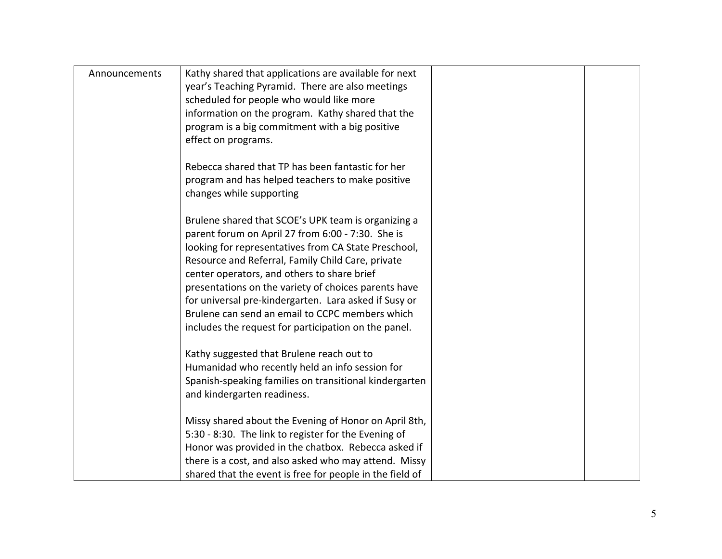| Announcements | Kathy shared that applications are available for next<br>year's Teaching Pyramid. There are also meetings<br>scheduled for people who would like more<br>information on the program. Kathy shared that the<br>program is a big commitment with a big positive<br>effect on programs.                                                                                                                                                                                                             |  |
|---------------|--------------------------------------------------------------------------------------------------------------------------------------------------------------------------------------------------------------------------------------------------------------------------------------------------------------------------------------------------------------------------------------------------------------------------------------------------------------------------------------------------|--|
|               | Rebecca shared that TP has been fantastic for her<br>program and has helped teachers to make positive<br>changes while supporting                                                                                                                                                                                                                                                                                                                                                                |  |
|               | Brulene shared that SCOE's UPK team is organizing a<br>parent forum on April 27 from 6:00 - 7:30. She is<br>looking for representatives from CA State Preschool,<br>Resource and Referral, Family Child Care, private<br>center operators, and others to share brief<br>presentations on the variety of choices parents have<br>for universal pre-kindergarten. Lara asked if Susy or<br>Brulene can send an email to CCPC members which<br>includes the request for participation on the panel. |  |
|               | Kathy suggested that Brulene reach out to<br>Humanidad who recently held an info session for<br>Spanish-speaking families on transitional kindergarten<br>and kindergarten readiness.                                                                                                                                                                                                                                                                                                            |  |
|               | Missy shared about the Evening of Honor on April 8th,<br>5:30 - 8:30. The link to register for the Evening of<br>Honor was provided in the chatbox. Rebecca asked if<br>there is a cost, and also asked who may attend. Missy<br>shared that the event is free for people in the field of                                                                                                                                                                                                        |  |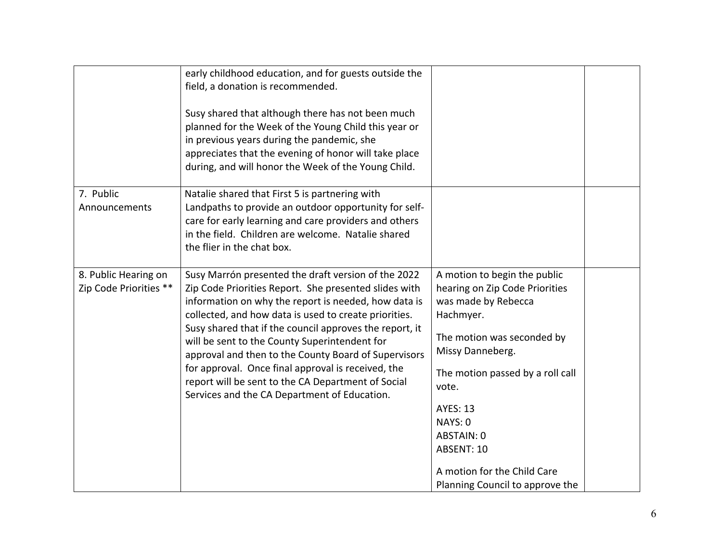|                                                | early childhood education, and for guests outside the<br>field, a donation is recommended.<br>Susy shared that although there has not been much<br>planned for the Week of the Young Child this year or<br>in previous years during the pandemic, she<br>appreciates that the evening of honor will take place<br>during, and will honor the Week of the Young Child.                                                                                                                                                                                         |                                                                                                                                                                                                                                                                                                                               |
|------------------------------------------------|---------------------------------------------------------------------------------------------------------------------------------------------------------------------------------------------------------------------------------------------------------------------------------------------------------------------------------------------------------------------------------------------------------------------------------------------------------------------------------------------------------------------------------------------------------------|-------------------------------------------------------------------------------------------------------------------------------------------------------------------------------------------------------------------------------------------------------------------------------------------------------------------------------|
| 7. Public<br>Announcements                     | Natalie shared that First 5 is partnering with<br>Landpaths to provide an outdoor opportunity for self-<br>care for early learning and care providers and others<br>in the field. Children are welcome. Natalie shared<br>the flier in the chat box.                                                                                                                                                                                                                                                                                                          |                                                                                                                                                                                                                                                                                                                               |
| 8. Public Hearing on<br>Zip Code Priorities ** | Susy Marrón presented the draft version of the 2022<br>Zip Code Priorities Report. She presented slides with<br>information on why the report is needed, how data is<br>collected, and how data is used to create priorities.<br>Susy shared that if the council approves the report, it<br>will be sent to the County Superintendent for<br>approval and then to the County Board of Supervisors<br>for approval. Once final approval is received, the<br>report will be sent to the CA Department of Social<br>Services and the CA Department of Education. | A motion to begin the public<br>hearing on Zip Code Priorities<br>was made by Rebecca<br>Hachmyer.<br>The motion was seconded by<br>Missy Danneberg.<br>The motion passed by a roll call<br>vote.<br><b>AYES: 13</b><br>NAYS: 0<br>ABSTAIN: 0<br>ABSENT: 10<br>A motion for the Child Care<br>Planning Council to approve the |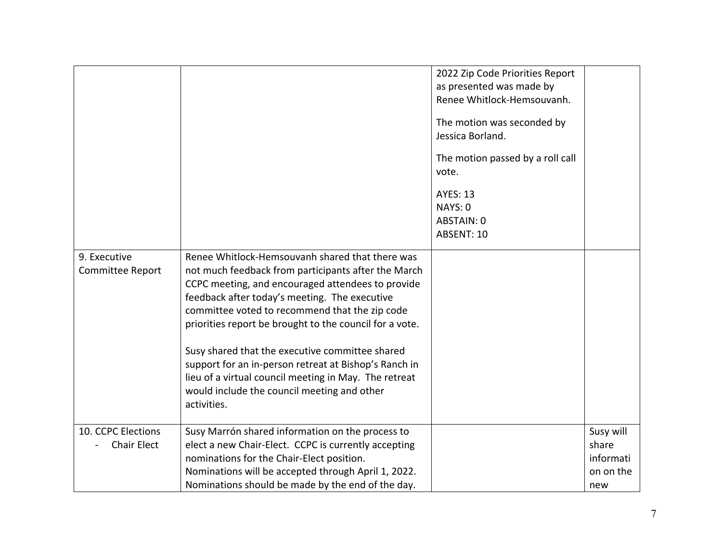| 9. Executive<br>Committee Report         | Renee Whitlock-Hemsouvanh shared that there was<br>not much feedback from participants after the March<br>CCPC meeting, and encouraged attendees to provide<br>feedback after today's meeting. The executive<br>committee voted to recommend that the zip code<br>priorities report be brought to the council for a vote.<br>Susy shared that the executive committee shared<br>support for an in-person retreat at Bishop's Ranch in<br>lieu of a virtual council meeting in May. The retreat<br>would include the council meeting and other<br>activities. | 2022 Zip Code Priorities Report<br>as presented was made by<br>Renee Whitlock-Hemsouvanh.<br>The motion was seconded by<br>Jessica Borland.<br>The motion passed by a roll call<br>vote.<br><b>AYES: 13</b><br>NAYS: 0<br>ABSTAIN: 0<br>ABSENT: 10 |                                                     |
|------------------------------------------|--------------------------------------------------------------------------------------------------------------------------------------------------------------------------------------------------------------------------------------------------------------------------------------------------------------------------------------------------------------------------------------------------------------------------------------------------------------------------------------------------------------------------------------------------------------|----------------------------------------------------------------------------------------------------------------------------------------------------------------------------------------------------------------------------------------------------|-----------------------------------------------------|
|                                          |                                                                                                                                                                                                                                                                                                                                                                                                                                                                                                                                                              |                                                                                                                                                                                                                                                    |                                                     |
| 10. CCPC Elections<br><b>Chair Elect</b> | Susy Marrón shared information on the process to<br>elect a new Chair-Elect. CCPC is currently accepting<br>nominations for the Chair-Elect position.<br>Nominations will be accepted through April 1, 2022.<br>Nominations should be made by the end of the day.                                                                                                                                                                                                                                                                                            |                                                                                                                                                                                                                                                    | Susy will<br>share<br>informati<br>on on the<br>new |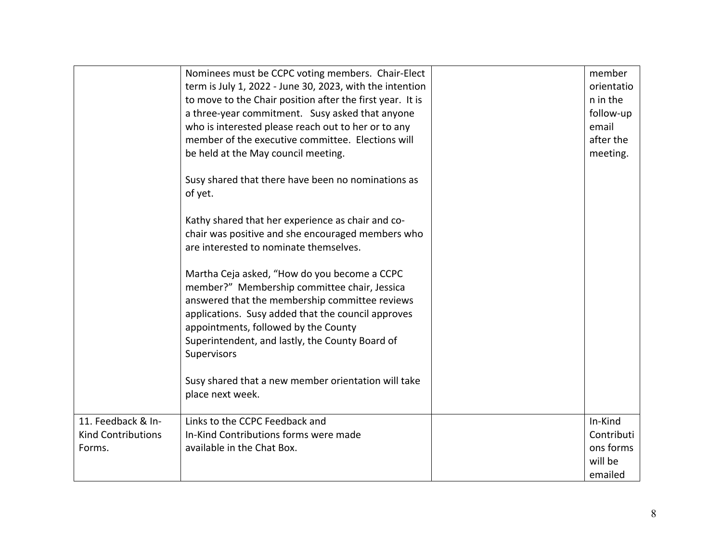|                           | Nominees must be CCPC voting members. Chair-Elect         | member     |
|---------------------------|-----------------------------------------------------------|------------|
|                           | term is July 1, 2022 - June 30, 2023, with the intention  | orientatio |
|                           | to move to the Chair position after the first year. It is | n in the   |
|                           | a three-year commitment. Susy asked that anyone           | follow-up  |
|                           | who is interested please reach out to her or to any       | email      |
|                           | member of the executive committee. Elections will         | after the  |
|                           | be held at the May council meeting.                       | meeting.   |
|                           |                                                           |            |
|                           | Susy shared that there have been no nominations as        |            |
|                           | of yet.                                                   |            |
|                           |                                                           |            |
|                           | Kathy shared that her experience as chair and co-         |            |
|                           | chair was positive and she encouraged members who         |            |
|                           | are interested to nominate themselves.                    |            |
|                           |                                                           |            |
|                           | Martha Ceja asked, "How do you become a CCPC              |            |
|                           | member?" Membership committee chair, Jessica              |            |
|                           | answered that the membership committee reviews            |            |
|                           | applications. Susy added that the council approves        |            |
|                           | appointments, followed by the County                      |            |
|                           | Superintendent, and lastly, the County Board of           |            |
|                           | Supervisors                                               |            |
|                           |                                                           |            |
|                           | Susy shared that a new member orientation will take       |            |
|                           | place next week.                                          |            |
|                           |                                                           |            |
| 11. Feedback & In-        | Links to the CCPC Feedback and                            | In-Kind    |
| <b>Kind Contributions</b> | In-Kind Contributions forms were made                     | Contributi |
| Forms.                    | available in the Chat Box.                                | ons forms  |
|                           |                                                           | will be    |
|                           |                                                           | emailed    |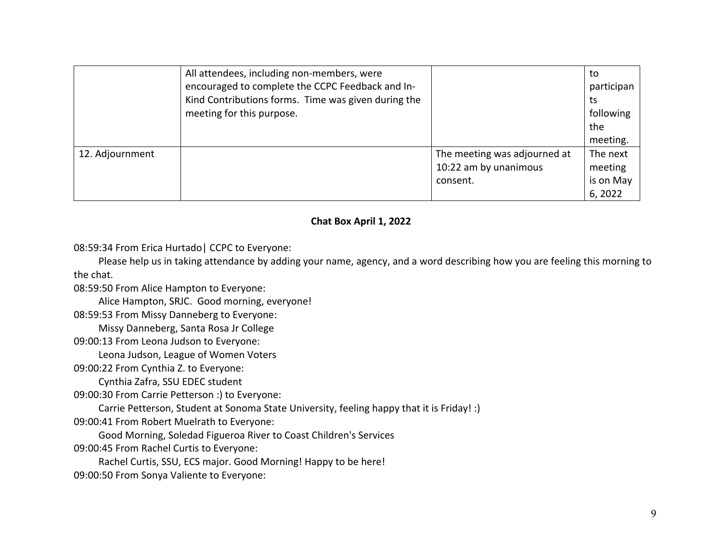|                 | All attendees, including non-members, were<br>encouraged to complete the CCPC Feedback and In-<br>Kind Contributions forms. Time was given during the<br>meeting for this purpose. |                              | to<br>participan<br>ts<br>following<br>the<br>meeting. |
|-----------------|------------------------------------------------------------------------------------------------------------------------------------------------------------------------------------|------------------------------|--------------------------------------------------------|
| 12. Adjournment |                                                                                                                                                                                    | The meeting was adjourned at | The next                                               |
|                 |                                                                                                                                                                                    | 10:22 am by unanimous        | meeting                                                |
|                 |                                                                                                                                                                                    | consent.                     | is on May                                              |
|                 |                                                                                                                                                                                    |                              | 6,2022                                                 |

## **Chat Box April 1, 2022**

08:59:34 From Erica Hurtado| CCPC to Everyone:

 the chat. Please help us in taking attendance by adding your name, agency, and a word describing how you are feeling this morning to

08:59:50 From Alice Hampton to Everyone:

Alice Hampton, SRJC. Good morning, everyone!

08:59:53 From Missy Danneberg to Everyone:

Missy Danneberg, Santa Rosa Jr College

09:00:13 From Leona Judson to Everyone:

Leona Judson, League of Women Voters

09:00:22 From Cynthia Z. to Everyone:

Cynthia Zafra, SSU EDEC student

09:00:30 From Carrie Petterson :) to Everyone:

Carrie Petterson, Student at Sonoma State University, feeling happy that it is Friday! :)

09:00:41 From Robert Muelrath to Everyone:

Good Morning, Soledad Figueroa River to Coast Children's Services

09:00:45 From Rachel Curtis to Everyone:

Rachel Curtis, SSU, ECS major. Good Morning! Happy to be here!

09:00:50 From Sonya Valiente to Everyone: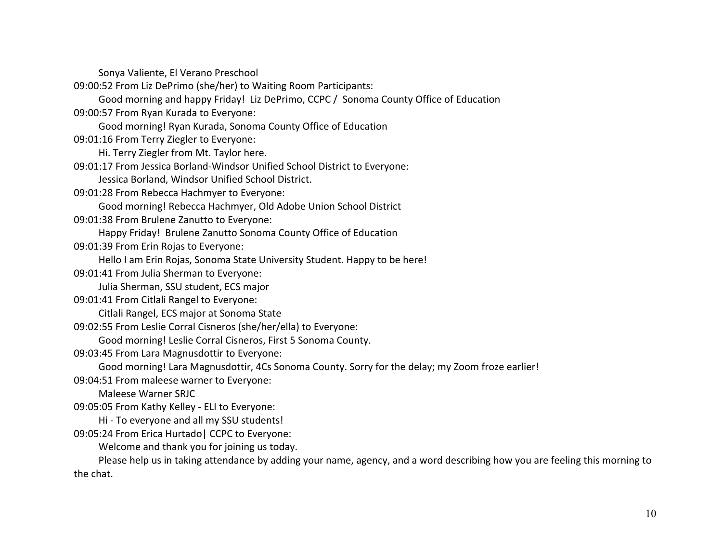Sonya Valiente, El Verano Preschool

09:00:52 From Liz DePrimo (she/her) to Waiting Room Participants:

Good morning and happy Friday! Liz DePrimo, CCPC / Sonoma County Office of Education

09:00:57 From Ryan Kurada to Everyone:

Good morning! Ryan Kurada, Sonoma County Office of Education

09:01:16 From Terry Ziegler to Everyone:

Hi. Terry Ziegler from Mt. Taylor here.

09:01:17 From Jessica Borland-Windsor Unified School District to Everyone:

Jessica Borland, Windsor Unified School District.

09:01:28 From Rebecca Hachmyer to Everyone:

Good morning! Rebecca Hachmyer, Old Adobe Union School District

09:01:38 From Brulene Zanutto to Everyone:

Happy Friday! Brulene Zanutto Sonoma County Office of Education

09:01:39 From Erin Rojas to Everyone:

Hello I am Erin Rojas, Sonoma State University Student. Happy to be here!

09:01:41 From Julia Sherman to Everyone:

Julia Sherman, SSU student, ECS major

09:01:41 From Citlali Rangel to Everyone:

Citlali Rangel, ECS major at Sonoma State

09:02:55 From Leslie Corral Cisneros (she/her/ella) to Everyone:

Good morning! Leslie Corral Cisneros, First 5 Sonoma County.

09:03:45 From Lara Magnusdottir to Everyone:

Good morning! Lara Magnusdottir, 4Cs Sonoma County. Sorry for the delay; my Zoom froze earlier!

09:04:51 From maleese warner to Everyone:

Maleese Warner SRJC

09:05:05 From Kathy Kelley - ELI to Everyone:

Hi - To everyone and all my SSU students!

09:05:24 From Erica Hurtado| CCPC to Everyone:

Welcome and thank you for joining us today.

 the chat. Please help us in taking attendance by adding your name, agency, and a word describing how you are feeling this morning to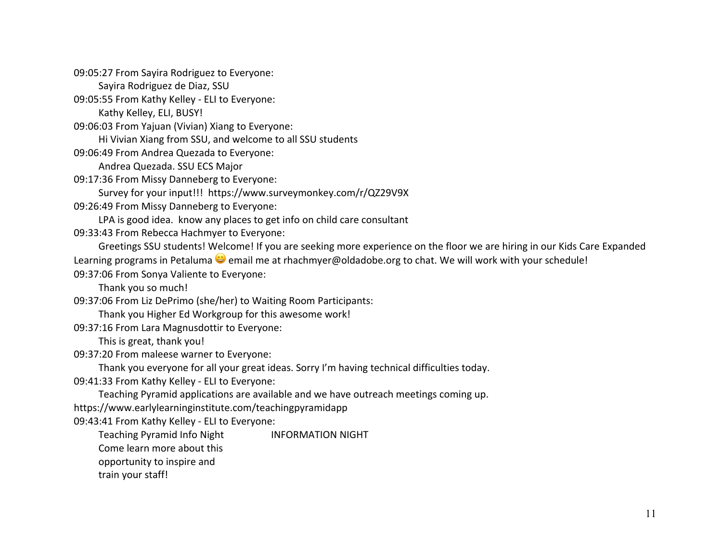09:05:27 From Sayira Rodriguez to Everyone:

Sayira Rodriguez de Diaz, SSU

09:05:55 From Kathy Kelley - ELI to Everyone:

Kathy Kelley, ELI, BUSY!

09:06:03 From Yajuan (Vivian) Xiang to Everyone:

Hi Vivian Xiang from SSU, and welcome to all SSU students

09:06:49 From Andrea Quezada to Everyone:

Andrea Quezada. SSU ECS Major

09:17:36 From Missy Danneberg to Everyone:

Survey for your input!!! <https://www.surveymonkey.com/r/QZ29V9X>

09:26:49 From Missy Danneberg to Everyone:

LPA is good idea. know any places to get info on child care consultant

09:33:43 From Rebecca Hachmyer to Everyone:

 Greetings SSU students! Welcome! If you are seeking more experience on the floor we are hiring in our Kids Care Expanded Learning programs in Petaluma  $\ddot{\bullet}$  email me at [rhachmyer@oldadobe.org](mailto:rhachmyer@oldadobe.org) to chat. We will work with your schedule! 09:37:06 From Sonya Valiente to Everyone:

Thank you so much!

09:37:06 From Liz DePrimo (she/her) to Waiting Room Participants:

Thank you Higher Ed Workgroup for this awesome work!

09:37:16 From Lara Magnusdottir to Everyone:

This is great, thank you!

09:37:20 From maleese warner to Everyone:

Thank you everyone for all your great ideas. Sorry I'm having technical difficulties today.

09:41:33 From Kathy Kelley - ELI to Everyone:

Teaching Pyramid applications are available and we have outreach meetings coming up.

<https://www.earlylearninginstitute.com/teachingpyramidapp>

09:43:41 From Kathy Kelley - ELI to Everyone:

Teaching Pyramid Info Night **INFORMATION NIGHT** 

Come learn more about this

opportunity to inspire and

train your staff!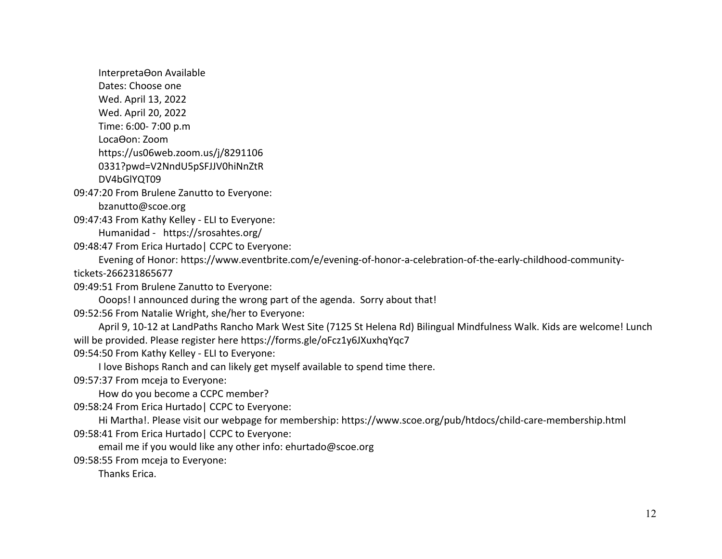Interpreta Oon Available

Dates: Choose one

Wed. April 13, 2022

Wed. April 20, 2022

Time: 6:00- 7:00 p.m

LocaOon: Zoom

<https://us06web.zoom.us/j/8291106>

0331?pwd=V2NndU5pSFJJV0hiNnZtR

DV4bGlYQT09

09:47:20 From Brulene Zanutto to Everyone:

[bzanutto@scoe.org](mailto:bzanutto@scoe.org) 

09:47:43 From Kathy Kelley - ELI to Everyone:

Humanidad - [https://srosahtes.org/](https://srosahtes.org)

09:48:47 From Erica Hurtado| CCPC to Everyone:

 Evening of Honor:<https://www.eventbrite.com/e/evening-of-honor-a-celebration-of-the-early-childhood-community>tickets-266231865677

09:49:51 From Brulene Zanutto to Everyone:

Ooops! I announced during the wrong part of the agenda. Sorry about that!

09:52:56 From Natalie Wright, she/her to Everyone:

 April 9, 10-12 at LandPaths Rancho Mark West Site (7125 St Helena Rd) Bilingual Mindfulness Walk. Kids are welcome! Lunch will be provided. Please register here<https://forms.gle/oFcz1y6JXuxhqYqc7>

09:54:50 From Kathy Kelley - ELI to Everyone:

I love Bishops Ranch and can likely get myself available to spend time there.

09:57:37 From mceja to Everyone:

How do you become a CCPC member?

09:58:24 From Erica Hurtado| CCPC to Everyone:

 09:58:41 From Erica Hurtado| CCPC to Everyone: Hi Martha!. Please visit our webpage for membership: <https://www.scoe.org/pub/htdocs/child-care-membership.html>

email me if you would like any other info: [ehurtado@scoe.org](mailto:ehurtado@scoe.org)

09:58:55 From mceja to Everyone:

Thanks Erica.